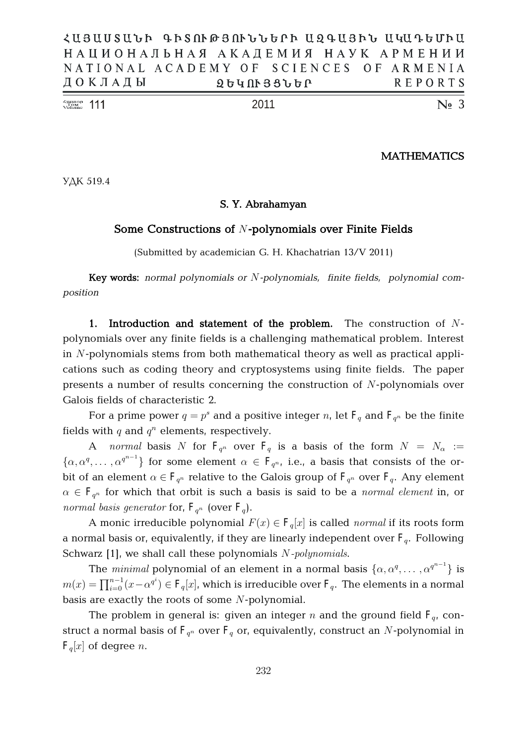| $\frac{\text{Number of Number}}{\text{Volume}}$ 111 |                                           |  |  |                   | 2011 |  |  |  |  | $\mathbb{N}$ <sub>2</sub> 3 |
|-----------------------------------------------------|-------------------------------------------|--|--|-------------------|------|--|--|--|--|-----------------------------|
|                                                     | ДОКЛАДЫ                                   |  |  | <b>ՁԵԿՈՒՅՑՆԵՐ</b> |      |  |  |  |  | REPORTS                     |
|                                                     | NATIONAL ACADEMY OF SCIENCES OF ARMENIA   |  |  |                   |      |  |  |  |  |                             |
|                                                     | НАЦИОНАЛЬНАЯ АКАДЕМИЯ НАУК АРМЕНИИ        |  |  |                   |      |  |  |  |  |                             |
|                                                     | ՀԱՑԱՍՏԱՆԻ ԳԻՏՈՒԹՅՈՒՆՆԵՐԻ ԱԶԳԱՑԻՆ ԱԿԱԴԵՄԻԱ |  |  |                   |      |  |  |  |  |                             |

 $\chi^{\text{number}}_{\text{Volume}}$  111

# **MATHEMATICS**

УДК 519.4

# **S. Y. Abrahamyan**

# **Some Constructions of** N**-polynomials over Finite Fields**

(Submitted by academician G. H. Khachatrian 13/V 2011)

**Key words:** *normal polynomials or* N*-polynomials, finite fields, polynomial composition*

**1. Introduction and statement of the problem.** The construction of Npolynomials over any finite fields is a challenging mathematical problem. Interest in N-polynomials stems from both mathematical theory as well as practical applications such as coding theory and cryptosystems using finite fields. The paper presents a number of results concerning the construction of N-polynomials over Galois fields of characteristic 2.

For a prime power  $q = p^s$  and a positive integer  $n$ , let  $\mathbf{F}_q$  and  $\mathbf{F}_{q^n}$  be the finite fields with  $q$  and  $q^n$  elements, respectively.

A *normal* basis N for  $F_{q^n}$  over  $F_q$  is a basis of the form  $N = N_\alpha :=$  $\{\alpha, \alpha^q, \dots, \alpha^{q^{n-1}}\}\$  for some element  $\alpha \in F_{q^n}$ , i.e., a basis that consists of the orbit of an element  $\alpha \in \mathbf{F}_{q^n}$  relative to the Galois group of  $\mathbf{F}_{q^n}$  over  $\mathbf{F}_{q}$ . Any element  $\alpha \in \mathbf{F}_{q^n}$  for which that orbit is such a basis is said to be a *normal element* in, or normal basis generator for,  $F_{q^n}$  (over  $F_q$ ).

A monic irreducible polynomial  $F(x) \in \mathbf{F}_q[x]$  is called *normal* if its roots form a normal basis or, equivalently, if they are linearly independent over  $F_q$ . Following Schwarz [1], we shall call these polynomials N-polynomials.

The *minimal* polynomial of an element in a normal basis  $\{\alpha, \alpha^q, \dots, \alpha^{q^{n-1}}\}$  is  $m(x)=\prod_{i=0}^{n-1}(x-\alpha^{q^i})\in {\mathtt F}_q[x]$ , which is irreducible over  ${\mathtt F}_q.$  The elements in a normal basis are exactly the roots of some N-polynomial.

The problem in general is: given an integer  $n$  and the ground field  $\mathrm{F}_q$ , construct a normal basis of  $\mathrm{F}_{q^n}$  over  $\mathrm{F}_{q}$  or, equivalently, construct an  $N$ -polynomial in  $\mathbf{F}_q[x]$  of degree *n*.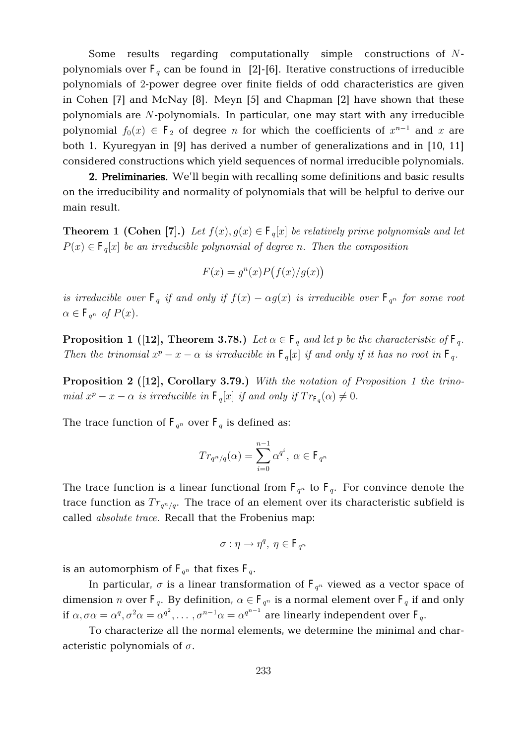Some results regarding computationally simple constructions of Npolynomials over  $F_q$  can be found in [2]-[6]. Iterative constructions of irreducible polynomials of 2-power degree over finite fields of odd characteristics are given in Cohen [7] and McNay [8]. Meyn [5] and Chapman [2] have shown that these polynomials are N-polynomials. In particular, one may start with any irreducible polynomial  $f_0(x) \in \mathbf{F}_2$  of degree n for which the coefficients of  $x^{n-1}$  and  $x$  are both 1. Kyuregyan in [9] has derived a number of generalizations and in [10, 11] considered constructions which yield sequences of normal irreducible polynomials.

**2. Preliminaries.** We'll begin with recalling some definitions and basic results on the irreducibility and normality of polynomials that will be helpful to derive our main result.

**Theorem 1 (Cohen [7].)** Let  $f(x), g(x) \in \mathbf{F}_q[x]$  be relatively prime polynomials and let  $P(x) \in \mathbf{F}_q[x]$  be an irreducible polynomial of degree n. Then the composition

$$
F(x) = gn(x)P(f(x)/g(x))
$$

is irreducible over  $\mathbf{F}_q$  if and only if  $f(x) - \alpha g(x)$  is irreducible over  $\mathbf{F}_{q^n}$  for some root  $\alpha \in \mathbf{F}_{q^n}$  of  $P(x)$ .

**Proposition 1** ([12], Theorem 3.78.) Let  $\alpha \in \mathbf{F}_q$  and let p be the characteristic of  $\mathbf{F}_q$ . Then the trinomial  $x^p - x - \alpha$  is irreducible in  $\mathbf{F}_q[x]$  if and only if it has no root in  $\mathbf{F}_q$ .

**Proposition 2** ([12], Corollary 3.79.) With the notation of Proposition 1 the trinomial  $x^p - x - \alpha$  is irreducible in  $\mathbf{F}_q[x]$  if and only if  $Tr_{\mathbf{F}_q}(\alpha) \neq 0$ .

The trace function of  $\mathrm{F}_{q^n}$  over  $\mathrm{F}_q$  is defined as:

$$
Tr_{q^n/q}(\alpha) = \sum_{i=0}^{n-1} \alpha^{q^i}, \ \alpha \in \mathbf{F}_{q^n}
$$

The trace function is a linear functional from  $F_{q^n}$  to  $F_q$ . For convince denote the trace function as  $Tr_{q^n/q}$ . The trace of an element over its characteristic subfield is called absolute trace. Recall that the Frobenius map:

$$
\sigma:\eta\to\eta^q,\ \eta\in\mathbf{F}_{q^n}
$$

is an automorphism of  $\mathrm{F}_{q^n}$  that fixes  $\mathrm{F}_{q}.$ 

In particular,  $\sigma$  is a linear transformation of  $F_{q^n}$  viewed as a vector space of dimension *n* over  $F_q$ . By definition,  $\alpha \in F_{q^n}$  is a normal element over  $F_q$  if and only if  $\alpha,\sigma\alpha=\alpha^q,\sigma^2\alpha=\alpha^{q^2},\ldots,\sigma^{n-1}\alpha=\alpha^{q^{n-1}}$  are linearly independent over  $\text{F}_q.$ 

To characterize all the normal elements, we determine the minimal and characteristic polynomials of  $\sigma$ .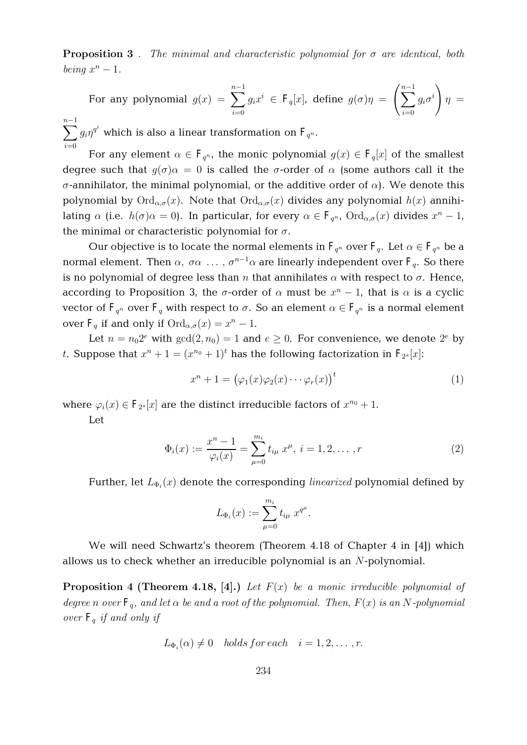**Proposition 3**. The minimal and characteristic polynomial for  $\sigma$  are identical, both being  $x^n - 1$ .

For any polynomial 
$$
g(x) = \sum_{i=0}^{n-1} g_i x^i \in F_q[x]
$$
, define  $g(\sigma)\eta = \left(\sum_{i=0}^{n-1} g_i \sigma^i\right) \eta =$ 

 $\displaystyle{\sum^{n-1} g_i \eta^{q^i}}$  which is also a linear transformation on  $\mathrm{F}_{q^n}.$  $i=0$ 

For any element  $\alpha \in \mathbf{F}_{q^n}$ , the monic polynomial  $g(x) \in \mathbf{F}_q[x]$  of the smallest degree such that  $g(\sigma)\alpha = 0$  is called the  $\sigma$ -order of  $\alpha$  (some authors call it the  $\sigma$ -annihilator, the minimal polynomial, or the additive order of  $\alpha$ ). We denote this polynomial by  $\text{Ord}_{\alpha,\sigma}(x)$ . Note that  $\text{Ord}_{\alpha,\sigma}(x)$  divides any polynomial  $h(x)$  annihilating  $\alpha$  (i.e.  $h(\sigma)\alpha = 0$ ). In particular, for every  $\alpha \in \mathbf{F}_{q^n}$ ,  $\text{Ord}_{\alpha,\sigma}(x)$  divides  $x^n - 1$ , the minimal or characteristic polynomial for  $\sigma$ .

Our objective is to locate the normal elements in  $\mathrm{F}_{q^n}$  over  $\mathrm{F}_{q}.$  Let  $\alpha \in \mathrm{F}_{q^n}$  be a normal element. Then  $\alpha$ ,  $\sigma\alpha$  ...,  $\sigma^{n-1}\alpha$  are linearly independent over  $\mathbf{F}_q$ . So there is no polynomial of degree less than n that annihilates  $\alpha$  with respect to  $\sigma$ . Hence, according to Proposition 3, the  $\sigma$ -order of  $\alpha$  must be  $x^n - 1$ , that is  $\alpha$  is a cyclic vector of  $\mathrm{F}_{q^n}$  over  $\mathrm{F}_{q}$  with respect to  $\sigma.$  So an element  $\alpha \in \mathrm{F}_{q^n}$  is a normal element over  $\mathbf{F}_q$  if and only if  $\text{Ord}_{\alpha,\sigma}(x) = x^n - 1$ .

Let  $n = n_0 2^e$  with  $gcd(2, n_0) = 1$  and  $e \ge 0$ . For convenience, we denote  $2^e$  by t. Suppose that  $x^n + 1 = (x^{n_0} + 1)^t$  has the following factorization in  $\mathrm{F}_{2^s}[x]$ :

$$
x^{n} + 1 = (\varphi_{1}(x)\varphi_{2}(x)\cdots\varphi_{r}(x))^{t}
$$
\n(1)

where  $\varphi_i(x) \in \mathbf{F}_{2^s}[x]$  are the distinct irreducible factors of  $x^{n_0} + 1$ .

Let

$$
\Phi_i(x) := \frac{x^n - 1}{\varphi_i(x)} = \sum_{\mu=0}^{m_i} t_{i\mu} \ x^{\mu}, \ i = 1, 2, \dots, r
$$
 (2)

Further, let  $L_{\Phi_i}(x)$  denote the corresponding *linearized* polynomial defined by

$$
L_{\Phi_i}(x) := \sum_{\mu=0}^{m_i} t_{i\mu} \; x^{q^{\mu}}.
$$

We will need Schwartz's theorem (Theorem 4.18 of Chapter 4 in [4]) which allows us to check whether an irreducible polynomial is an N-polynomial.

**Proposition 4 (Theorem 4.18, [4].)** Let  $F(x)$  be a monic irreducible polynomial of degree n over  $\mathbf{F}_q$ , and let  $\alpha$  be and a root of the polynomial. Then,  $F(x)$  is an N-polynomial over  $F_q$  if and only if

$$
L_{\Phi_i}(\alpha) \neq 0 \quad holds \, for \, each \quad i = 1, 2, \ldots, r.
$$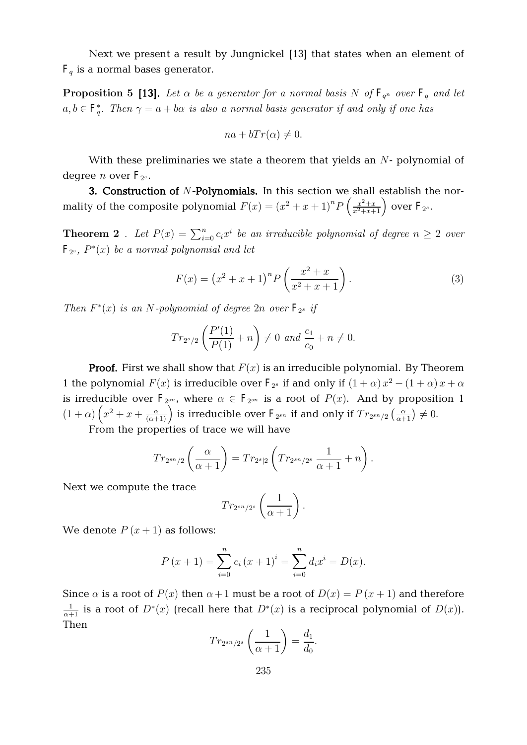Next we present a result by Jungnickel [13] that states when an element of  $F<sub>q</sub>$  is a normal bases generator.

**Proposition 5 [13].** Let  $\alpha$  be a generator for a normal basis N of  $\mathbf{F}_{q^n}$  over  $\mathbf{F}_{q}$  and let  $a,b\in \mathbf{F}_q^*.$  Then  $\gamma=a+b\alpha$  is also a normal basis generator if and only if one has

$$
na + bTr(\alpha) \neq 0.
$$

With these preliminaries we state a theorem that yields an  $N$ - polynomial of degree  $n$  over  $\mathrm{F}_{2^s}.$ 

**3. Construction of** N**-Polynomials.** In this section we shall establish the normality of the composite polynomial  $F(x) = (x^2 + x + 1)^n P\left(\frac{x^2 + x}{x^2 + x + 1}\right)$  $\frac{x^2+x}{x^2+x+1}$  over  $\mathrm{F}_{2^s}$ .

**Theorem 2**. Let  $P(x) = \sum_{i=0}^{n} c_i x^i$  be an irreducible polynomial of degree  $n \geq 2$  over  $\mathbf{F}_{2^s},\ P^*(x)$  be a normal polynomial and let

$$
F(x) = (x^{2} + x + 1)^{n} P\left(\frac{x^{2} + x}{x^{2} + x + 1}\right).
$$
 (3)

Then  $F^*(x)$  is an N-polynomial of degree  $2n$  over  $\mathbf{F}_{2^s}$  if

$$
Tr_{2^{s}/2}\left(\frac{P'(1)}{P(1)}+n\right)\neq 0
$$
 and  $\frac{c_1}{c_0}+n\neq 0$ .

**Proof.** First we shall show that  $F(x)$  is an irreducible polynomial. By Theorem 1 the polynomial  $F(x)$  is irreducible over  $F_{2<sup>s</sup>}$  if and only if  $(1 + \alpha)x^2 - (1 + \alpha)x + \alpha$ is irreducible over  $\mathbf{F}_{2^{sn}}$ , where  $\alpha \in \mathbf{F}_{2^{sn}}$  is a root of  $P(x)$ . And by proposition 1  $(1+\alpha)\left(x^2+x+\frac{\alpha}{(\alpha+1)}\right)$  is irreducible over  $F_{2^{sn}}$  if and only if  $Tr_{2^{sn}/2}\left(\frac{\alpha}{\alpha+1}\right)\neq 0$ .

From the properties of trace we will have

$$
Tr_{2^{sn}/2}\left(\frac{\alpha}{\alpha+1}\right) = Tr_{2^{s}|2}\left(Tr_{2^{sn}/2^s}\frac{1}{\alpha+1} + n\right).
$$

Next we compute the trace

$$
Tr_{2^{sn}/2^s}\left(\frac{1}{\alpha+1}\right).
$$

We denote  $P(x+1)$  as follows:

$$
P(x + 1) = \sum_{i=0}^{n} c_i (x + 1)^i = \sum_{i=0}^{n} d_i x^i = D(x).
$$

Since  $\alpha$  is a root of  $P(x)$  then  $\alpha+1$  must be a root of  $D(x) = P(x+1)$  and therefore  $\frac{1}{\alpha+1}$  is a root of  $D^*(x)$  (recall here that  $D^*(x)$  is a reciprocal polynomial of  $D(x)$ ). Then

$$
Tr_{2^{sn}/2^s}\left(\frac{1}{\alpha+1}\right) = \frac{d_1}{d_0}.
$$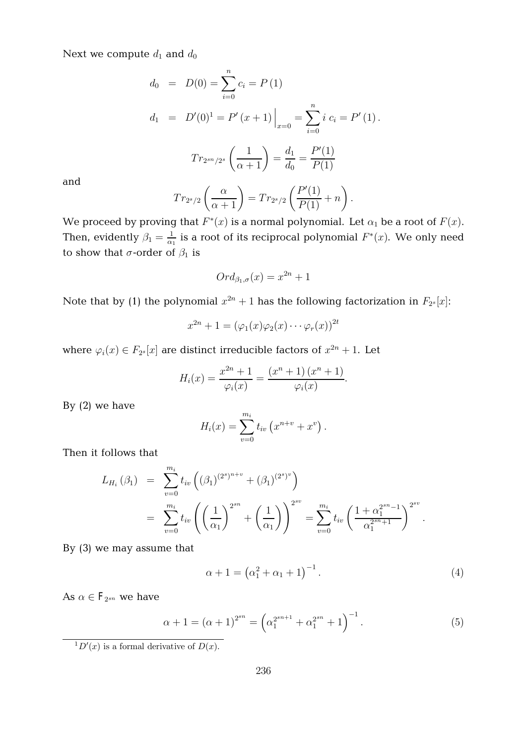Next we compute  $d_1$  and  $d_0$ 

$$
d_0 = D(0) = \sum_{i=0}^{n} c_i = P(1)
$$
  
\n
$$
d_1 = D'(0)^1 = P'(x+1) \Big|_{x=0} = \sum_{i=0}^{n} i c_i = P'(1).
$$
  
\n
$$
Tr_{2^{sn}/2^s} \left(\frac{1}{\alpha+1}\right) = \frac{d_1}{d_0} = \frac{P'(1)}{P(1)}
$$

and

$$
Tr_{2^{s}/2}\left(\frac{\alpha}{\alpha+1}\right) = Tr_{2^{s}/2}\left(\frac{P'(1)}{P(1)}+n\right).
$$

We proceed by proving that  $F^*(x)$  is a normal polynomial. Let  $\alpha_1$  be a root of  $F(x).$ Then, evidently  $\beta_1 = \frac{1}{\alpha_1}$  $\frac{1}{\alpha_1}$  is a root of its reciprocal polynomial  $F^*(x)$ . We only need to show that  $\sigma$ -order of  $\beta_1$  is

$$
Ord_{\beta_1,\sigma}(x)=x^{2n}+1
$$

Note that by (1) the polynomial  $x^{2n} + 1$  has the following factorization in  $F_{2^s}[x]$ :

$$
x^{2n} + 1 = (\varphi_1(x)\varphi_2(x)\cdots\varphi_r(x))^{2t}
$$

where  $\varphi_i(x) \in F_{2^s}[x]$  are distinct irreducible factors of  $x^{2n} + 1$ . Let

$$
H_i(x) = \frac{x^{2n} + 1}{\varphi_i(x)} = \frac{(x^n + 1)(x^n + 1)}{\varphi_i(x)}.
$$

By (2) we have

$$
H_i(x) = \sum_{v=0}^{m_i} t_{iv} (x^{n+v} + x^v).
$$

Then it follows that

$$
L_{H_i}(\beta_1) = \sum_{v=0}^{m_i} t_{iv} \left( (\beta_1)^{(2^s)^{n+v}} + (\beta_1)^{(2^s)^v} \right)
$$
  
= 
$$
\sum_{v=0}^{m_i} t_{iv} \left( \left( \frac{1}{\alpha_1} \right)^{2^{sn}} + \left( \frac{1}{\alpha_1} \right) \right)^{2^{sv}} = \sum_{v=0}^{m_i} t_{iv} \left( \frac{1 + \alpha_1^{2^{sn} - 1}}{\alpha_1^{2^{sn} + 1}} \right)^{2^{sv}}.
$$

By (3) we may assume that

$$
\alpha + 1 = (\alpha_1^2 + \alpha_1 + 1)^{-1}.
$$
 (4)

As  $\alpha \in \mathbf{F}_{2^{sn}}$  we have

$$
\alpha + 1 = (\alpha + 1)^{2^{sn}} = \left(\alpha_1^{2^{sn+1}} + \alpha_1^{2^{sn}} + 1\right)^{-1}.
$$
\n(5)

 ${}^{1}D'(x)$  is a formal derivative of  $D(x)$ .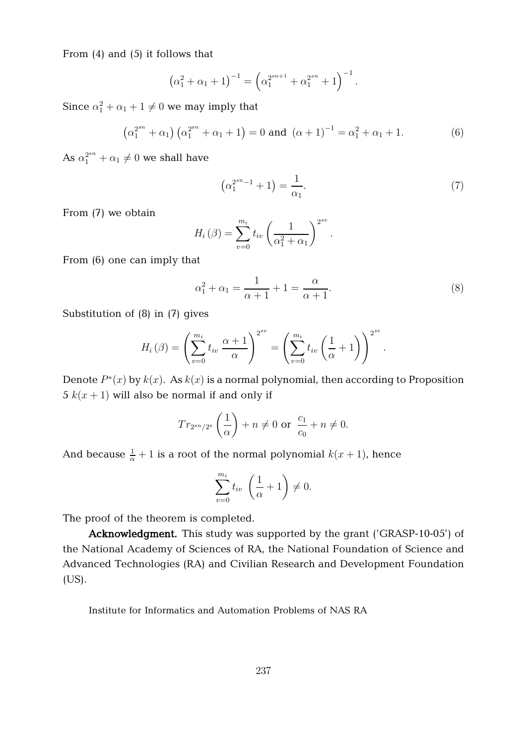From (4) and (5) it follows that

$$
(\alpha_1^2 + \alpha_1 + 1)^{-1} = (\alpha_1^{2^{sn+1}} + \alpha_1^{2^{sn}} + 1)^{-1}.
$$

Since  $\alpha_1^2 + \alpha_1 + 1 \neq 0$  we may imply that

$$
\left(\alpha_1^{2^{sn}} + \alpha_1\right) \left(\alpha_1^{2^{sn}} + \alpha_1 + 1\right) = 0 \text{ and } \left(\alpha + 1\right)^{-1} = \alpha_1^2 + \alpha_1 + 1. \tag{6}
$$

As  $\alpha_1^{2^{sn}} + \alpha_1 \neq 0$  we shall have

$$
\left(\alpha_1^{2^{sn}-1} + 1\right) = \frac{1}{\alpha_1}.\tag{7}
$$

From (7) we obtain

$$
H_i(\beta) = \sum_{v=0}^{m_i} t_{iv} \left( \frac{1}{\alpha_1^2 + \alpha_1} \right)^{2^{sv}}.
$$

From (6) one can imply that

$$
\alpha_1^2 + \alpha_1 = \frac{1}{\alpha + 1} + 1 = \frac{\alpha}{\alpha + 1}.\tag{8}
$$

Substitution of (8) in (7) gives

$$
H_i(\beta) = \left(\sum_{v=0}^{m_i} t_{iv} \frac{\alpha+1}{\alpha}\right)^{2^{sv}} = \left(\sum_{v=0}^{m_i} t_{iv} \left(\frac{1}{\alpha}+1\right)\right)^{2^{sv}}.
$$

Denote  $P^*(x)$  by  $k(x)$ . As  $k(x)$  is a normal polynomial, then according to Proposition 5  $k(x + 1)$  will also be normal if and only if

$$
Tr_{2^{sn}/2^s}\left(\frac{1}{\alpha}\right) + n \neq 0 \text{ or } \frac{c_1}{c_0} + n \neq 0.
$$

And because  $\frac{1}{\alpha} + 1$  is a root of the normal polynomial  $k(x + 1)$ , hence

$$
\sum_{v=0}^{m_i} t_{iv} \left(\frac{1}{\alpha} + 1\right) \neq 0.
$$

The proof of the theorem is completed.

**Acknowledgment.** This study was supported by the grant ('GRASP-10-05') of the National Academy of Sciences of RA, the National Foundation of Science and Advanced Technologies (RA) and Civilian Research and Development Foundation (US).

Institute for Informatics and Automation Problems of NAS RA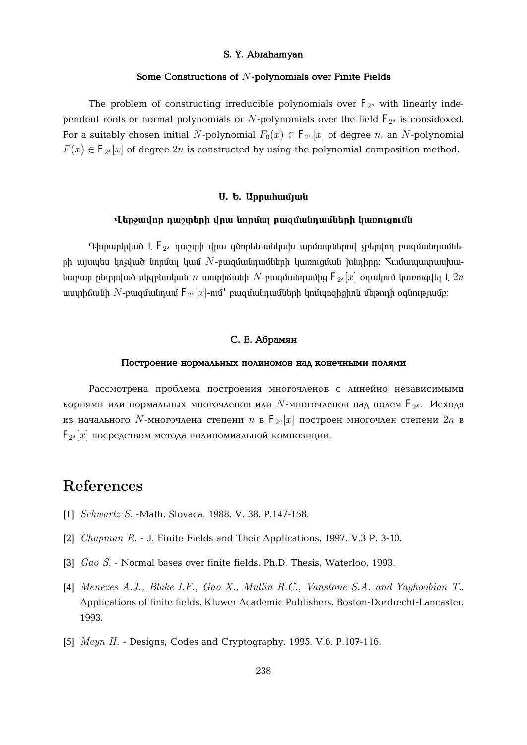## **S. Y. Abrahamyan**

## **Some Constructions of** N**-polynomials over Finite Fields**

The problem of constructing irreducible polynomials over  $\mathrm{F}_{2^s}$  with linearly independent roots or normal polynomials or  $N$ -polynomials over the field  $\mathrm{F}_{2^s}$  is considoxed. For a suitably chosen initial N-polynomial  $F_0(x) \in \mathbf{F}_{2^s}[x]$  of degree  $n$ , an N-polynomial  $F(x) \in \mathbf{F}_{2^s}[x]$  of degree  $2n$  is constructed by using the polynomial composition method.

## $U.$  **b.** Uppwhwunuu

### **ì»ñç³íáñ ¹³ßï»ñÇ íñ³ ÝáñÙ³É µ³½Ù³Ý¹³ÙÝ»ñÇ ϳéáõóáõÙÝ**

Դիտարկված է  $\mathrm{F_{2^s}}$  դաշտի վրա գծորեն-անկախ արմատներով չբերվող բազմանդամնե $p$ ի այսպես կոչված նորմալ կամ  $N$ -բազմանդամների կառուցման խնդիրը։ Տամապատրասխանաբար ընտրված սկզբնական  $n$  աստիճանի  $N$ -բազմանդամից  ${\rm F}_{2^s}[x]$  օղակում կառուցվել է  $2n$ աստիճանի  $N$ -բազմանդամ  ${\bf F}_{2^s}[x]$ -ում $^{\prime}$  բազմանդամների կոմպոզիցիոն մեթոդի օգնությամբ։

# $C. E.$  *Абрамян*

#### Построение нормальных полиномов над конечными полями

Рассмотрена проблема построения многочленов с линейно независимыми корнями или нормальных многочленов или  $N$ -многочленов над полем  $\mathrm{F}_{2^s}.$  Исходя из начального  $N$ -многочлена степени  $n$  в  $\mathrm{F}_{2^s}[x]$  построен многочлен степени  $2n$  в  $\mathbf{F}_{2^s}[x]$  посредством метода полиномиальной композиции.

# References

- [1] *Schwartz S.* -Math. Slovaca. 1988. V. 38. P.147-158.
- [2] Chapman R . J. Finite Fields and Their Applications, 1997. V.3 P. 3-10.
- [3] Gao S. Normal bases over finite fields. Ph.D. Thesis, Waterloo, 1993.
- [4] Menezes A.J., Blake I.F., Gao X., Mullin R.C., Vanstone S.A. and Yaghoobian T.. Applications of finite fields. Kluwer Academic Publishers, Boston-Dordrecht-Lancaster. 1993.
- [5] *Meyn H.* Designs, Codes and Cryptography. 1995. V.6. P.107-116.